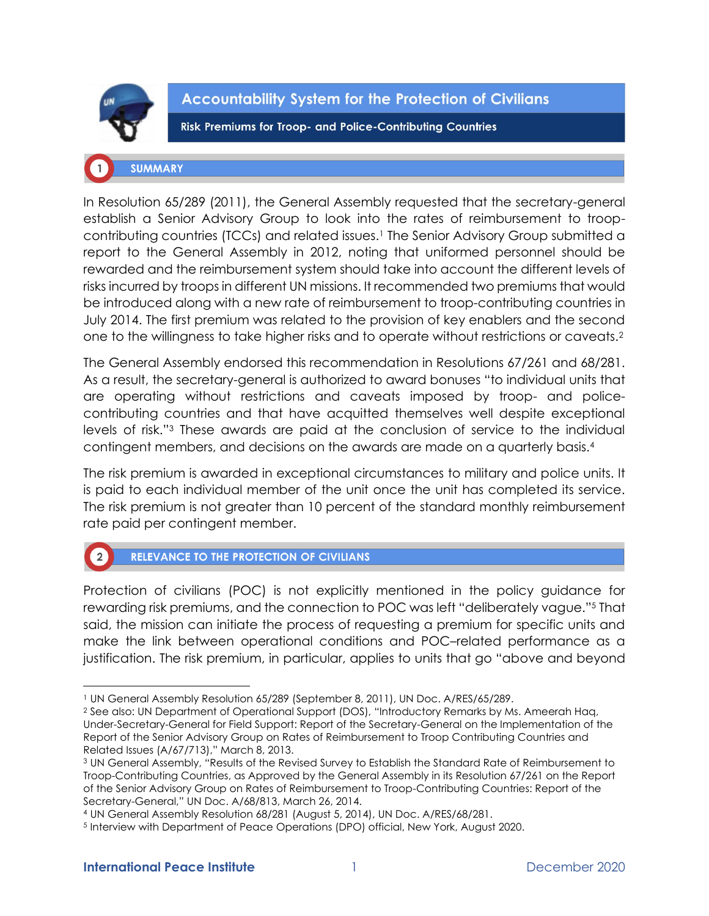

**Accountability System for the Protection of Civilians** 

**Risk Premiums for Troop- and Police-Contributing Countries** 

# **SUMMARY**

In Resolution 65/289 (2011), the General Assembly requested that the secretary-general establish a Senior Advisory Group to look into the rates of reimbursement to troopcontributing countries (TCCs) and related issues.<sup>1</sup> The Senior Advisory Group submitted a report to the General Assembly in 2012, noting that uniformed personnel should be rewarded and the reimbursement system should take into account the different levels of risks incurred by troops in different UN missions. It recommended two premiums that would be introduced along with a new rate of reimbursement to troop-contributing countries in July 2014. The first premium was related to the provision of key enablers and the second one to the willingness to take higher risks and to operate without restrictions or caveats.<sup>2</sup>

The General Assembly endorsed this recommendation in Resolutions 67/261 and 68/281. As a result, the secretary-general is authorized to award bonuses "to individual units that are operating without restrictions and caveats imposed by troop- and policecontributing countries and that have acquitted themselves well despite exceptional levels of risk."<sup>3</sup> These awards are paid at the conclusion of service to the individual contingent members, and decisions on the awards are made on a quarterly basis.<sup>4</sup>

The risk premium is awarded in exceptional circumstances to military and police units. It is paid to each individual member of the unit once the unit has completed its service. The risk premium is not greater than 10 percent of the standard monthly reimbursement rate paid per contingent member.

#### RELEVANCE TO THE PROTECTION OF CIVILIANS  $\left( 2 \right)$

Protection of civilians (POC) is not explicitly mentioned in the policy guidance for rewarding risk premiums, and the connection to POC was left "deliberately vague."<sup>5</sup> That said, the mission can initiate the process of requesting a premium for specific units and make the link between operational conditions and POC–related performance as a justification. The risk premium, in particular, applies to units that go "above and beyond

<sup>1</sup> UN General Assembly Resolution 65/289 (September 8, 2011), UN Doc. A/RES/65/289.

<sup>2</sup> See also: UN Department of Operational Support (DOS), "Introductory Remarks by Ms. Ameerah Haq, Under-Secretary-General for Field Support: Report of the Secretary-General on the Implementation of the Report of the Senior Advisory Group on Rates of Reimbursement to Troop Contributing Countries and Related Issues (A/67/713)," March 8, 2013.

<sup>3</sup> UN General Assembly, "Results of the Revised Survey to Establish the Standard Rate of Reimbursement to Troop-Contributing Countries, as Approved by the General Assembly in its Resolution 67/261 on the Report of the Senior Advisory Group on Rates of Reimbursement to Troop-Contributing Countries: Report of the Secretary-General," UN Doc. A/68/813, March 26, 2014.

<sup>4</sup> UN General Assembly Resolution 68/281 (August 5, 2014), UN Doc. A/RES/68/281.

<sup>5</sup> Interview with Department of Peace Operations (DPO) official, New York, August 2020.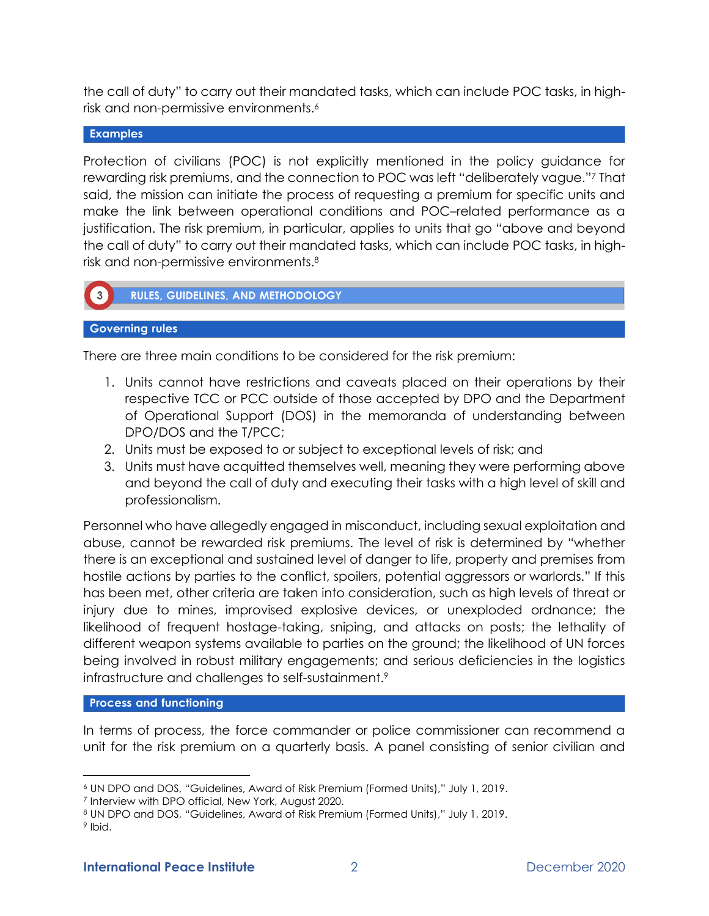the call of duty" to carry out their mandated tasks, which can include POC tasks, in highrisk and non-permissive environments.<sup>6</sup>

## **Examples**

Protection of civilians (POC) is not explicitly mentioned in the policy guidance for rewarding risk premiums, and the connection to POC was left "deliberately vague."<sup>7</sup> That said, the mission can initiate the process of requesting a premium for specific units and make the link between operational conditions and POC–related performance as a justification. The risk premium, in particular, applies to units that go "above and beyond the call of duty" to carry out their mandated tasks, which can include POC tasks, in highrisk and non-permissive environments.<sup>8</sup>



**RULES, GUIDELINES, AND METHODOLOGY** 

#### **Governing rules**

There are three main conditions to be considered for the risk premium:

- 1. Units cannot have restrictions and caveats placed on their operations by their respective TCC or PCC outside of those accepted by DPO and the Department of Operational Support (DOS) in the memoranda of understanding between DPO/DOS and the T/PCC;
- 2. Units must be exposed to or subject to exceptional levels of risk; and
- 3. Units must have acquitted themselves well, meaning they were performing above and beyond the call of duty and executing their tasks with a high level of skill and professionalism.

Personnel who have allegedly engaged in misconduct, including sexual exploitation and abuse, cannot be rewarded risk premiums. The level of risk is determined by "whether there is an exceptional and sustained level of danger to life, property and premises from hostile actions by parties to the conflict, spoilers, potential aggressors or warlords." If this has been met, other criteria are taken into consideration, such as high levels of threat or injury due to mines, improvised explosive devices, or unexploded ordnance; the likelihood of frequent hostage-taking, sniping, and attacks on posts; the lethality of different weapon systems available to parties on the ground; the likelihood of UN forces being involved in robust military engagements; and serious deficiencies in the logistics infrastructure and challenges to self-sustainment.<sup>9</sup>

### **Process and functioning**

In terms of process, the force commander or police commissioner can recommend a unit for the risk premium on a quarterly basis. A panel consisting of senior civilian and

<sup>6</sup> UN DPO and DOS, "Guidelines, Award of Risk Premium (Formed Units)," July 1, 2019.

<sup>7</sup> Interview with DPO official, New York, August 2020.

<sup>8</sup> UN DPO and DOS, "Guidelines, Award of Risk Premium (Formed Units)," July 1, 2019.

<sup>&</sup>lt;sup>9</sup> Ibid.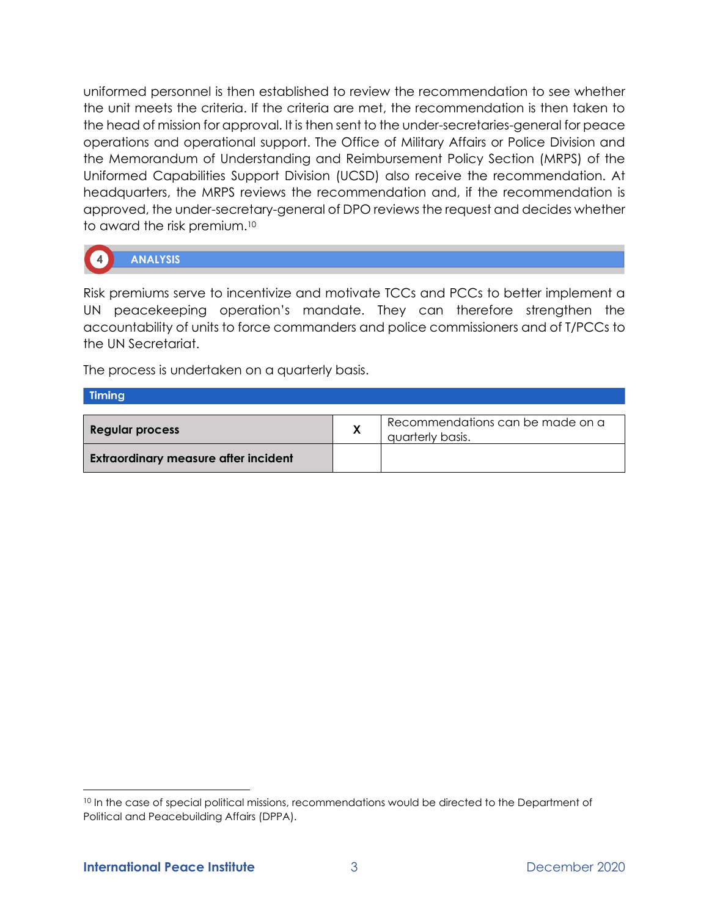uniformed personnel is then established to review the recommendation to see whether the unit meets the criteria. If the criteria are met, the recommendation is then taken to the head of mission for approval. It is then sent to the under-secretaries-general for peace operations and operational support. The Office of Military Affairs or Police Division and the Memorandum of Understanding and Reimbursement Policy Section (MRPS) of the Uniformed Capabilities Support Division (UCSD) also receive the recommendation. At headquarters, the MRPS reviews the recommendation and, if the recommendation is approved, the under-secretary-general of DPO reviews the request and decides whether to award the risk premium.<sup>10</sup>



# **ANALYSIS**

Risk premiums serve to incentivize and motivate TCCs and PCCs to better implement a UN peacekeeping operation's mandate. They can therefore strengthen the accountability of units to force commanders and police commissioners and of T/PCCs to the UN Secretariat.

The process is undertaken on a quarterly basis.

## **Timing**

| <b>Regular process</b>                      | Recommendations can be made on a<br>quarterly basis. |
|---------------------------------------------|------------------------------------------------------|
| <b>Extraordinary measure after incident</b> |                                                      |

<sup>&</sup>lt;sup>10</sup> In the case of special political missions, recommendations would be directed to the Department of Political and Peacebuilding Affairs (DPPA).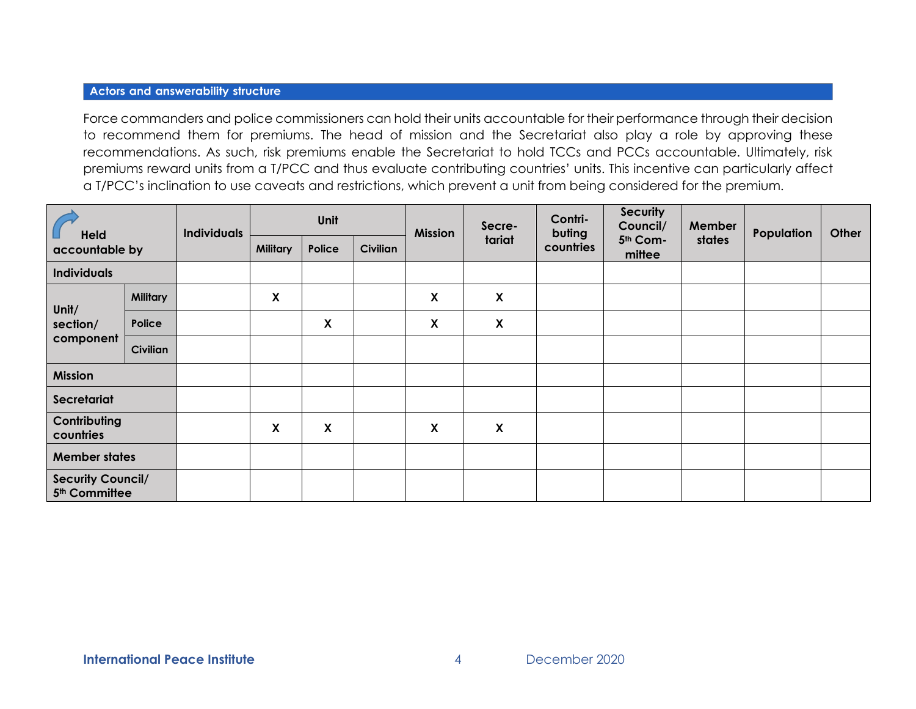#### **Actors and answerability structure**

Force commanders and police commissioners can hold their units accountable for their performance through their decision to recommend them for premiums. The head of mission and the Secretariat also play a role by approving these recommendations. As such, risk premiums enable the Secretariat to hold TCCs and PCCs accountable. Ultimately, risk premiums reward units from a T/PCC and thus evaluate contributing countries' units. This incentive can particularly affect a T/PCC's inclination to use caveats and restrictions, which prevent a unit from being considered for the premium.

| <b>Held</b><br>accountable by                         |                 | <b>Individuals</b> | Unit            |                           |          | <b>Mission</b> | Secre-                    | Contri-<br>buting | <b>Security</b><br>Council/ | <b>Member</b> | Population | Other |
|-------------------------------------------------------|-----------------|--------------------|-----------------|---------------------------|----------|----------------|---------------------------|-------------------|-----------------------------|---------------|------------|-------|
|                                                       |                 |                    | <b>Military</b> | Police                    | Civilian |                | tariat                    | countries         | 5th Com-<br>mittee          | states        |            |       |
| <b>Individuals</b>                                    |                 |                    |                 |                           |          |                |                           |                   |                             |               |            |       |
| Unit/<br>section/<br>component                        | <b>Military</b> |                    | X               |                           |          | X              | $\boldsymbol{X}$          |                   |                             |               |            |       |
|                                                       | Police          |                    |                 | $\boldsymbol{\mathsf{X}}$ |          | X              | $\boldsymbol{\mathsf{X}}$ |                   |                             |               |            |       |
|                                                       | <b>Civilian</b> |                    |                 |                           |          |                |                           |                   |                             |               |            |       |
| <b>Mission</b>                                        |                 |                    |                 |                           |          |                |                           |                   |                             |               |            |       |
| Secretariat                                           |                 |                    |                 |                           |          |                |                           |                   |                             |               |            |       |
| Contributing<br>countries                             |                 |                    | X               | $\boldsymbol{\mathsf{X}}$ |          | X              | $\pmb{\mathsf{X}}$        |                   |                             |               |            |       |
| <b>Member states</b>                                  |                 |                    |                 |                           |          |                |                           |                   |                             |               |            |       |
| <b>Security Council/</b><br>5 <sup>th</sup> Committee |                 |                    |                 |                           |          |                |                           |                   |                             |               |            |       |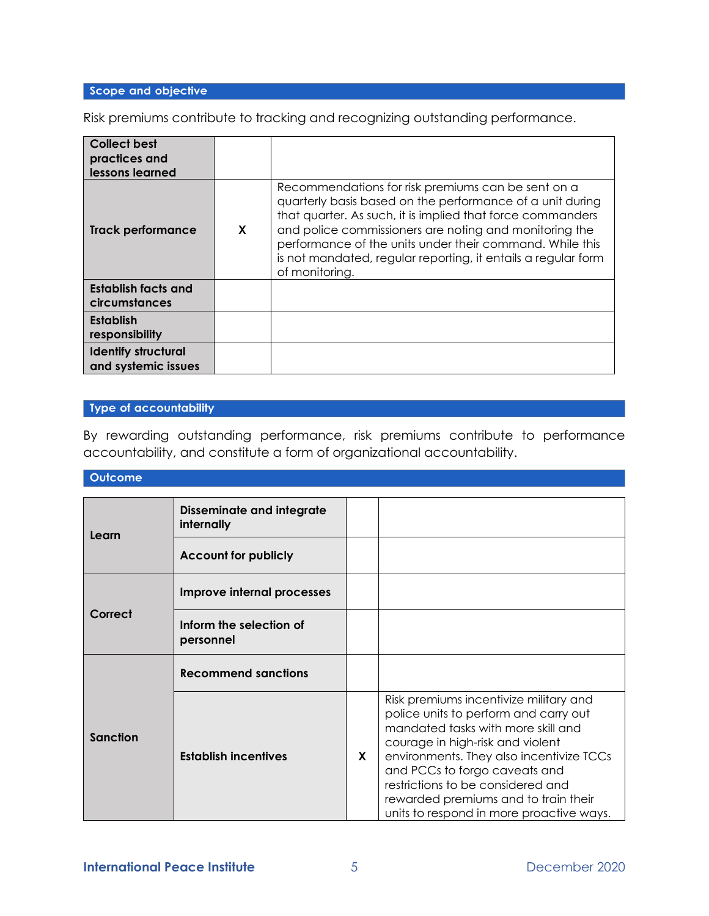# Scope and objective

Risk premiums contribute to tracking and recognizing outstanding performance.

| <b>Collect best</b><br>practices and<br>lessons learned |   |                                                                                                                                                                                                                                                                                                                                                                                        |
|---------------------------------------------------------|---|----------------------------------------------------------------------------------------------------------------------------------------------------------------------------------------------------------------------------------------------------------------------------------------------------------------------------------------------------------------------------------------|
| Track performance                                       | X | Recommendations for risk premiums can be sent on a<br>quarterly basis based on the performance of a unit during<br>that quarter. As such, it is implied that force commanders<br>and police commissioners are noting and monitoring the<br>performance of the units under their command. While this<br>is not mandated, regular reporting, it entails a regular form<br>of monitoring. |
| Establish facts and<br>circumstances                    |   |                                                                                                                                                                                                                                                                                                                                                                                        |
| <b>Establish</b><br>responsibility                      |   |                                                                                                                                                                                                                                                                                                                                                                                        |
| <b>Identify structural</b><br>and systemic issues       |   |                                                                                                                                                                                                                                                                                                                                                                                        |

# Type of accountability

By rewarding outstanding performance, risk premiums contribute to performance accountability, and constitute a form of organizational accountability.

| <b>Outcome</b>  |                                                |  |                                                                                                                                                                                                                                                                                                                                                                 |
|-----------------|------------------------------------------------|--|-----------------------------------------------------------------------------------------------------------------------------------------------------------------------------------------------------------------------------------------------------------------------------------------------------------------------------------------------------------------|
|                 |                                                |  |                                                                                                                                                                                                                                                                                                                                                                 |
| Learn           | <b>Disseminate and integrate</b><br>internally |  |                                                                                                                                                                                                                                                                                                                                                                 |
|                 | <b>Account for publicly</b>                    |  |                                                                                                                                                                                                                                                                                                                                                                 |
|                 | Improve internal processes                     |  |                                                                                                                                                                                                                                                                                                                                                                 |
| Correct         | Inform the selection of<br>personnel           |  |                                                                                                                                                                                                                                                                                                                                                                 |
| <b>Sanction</b> | <b>Recommend sanctions</b>                     |  |                                                                                                                                                                                                                                                                                                                                                                 |
|                 | <b>Establish incentives</b>                    |  | Risk premiums incentivize military and<br>police units to perform and carry out<br>mandated tasks with more skill and<br>courage in high-risk and violent<br>environments. They also incentivize TCCs<br>and PCCs to forgo caveats and<br>restrictions to be considered and<br>rewarded premiums and to train their<br>units to respond in more proactive ways. |